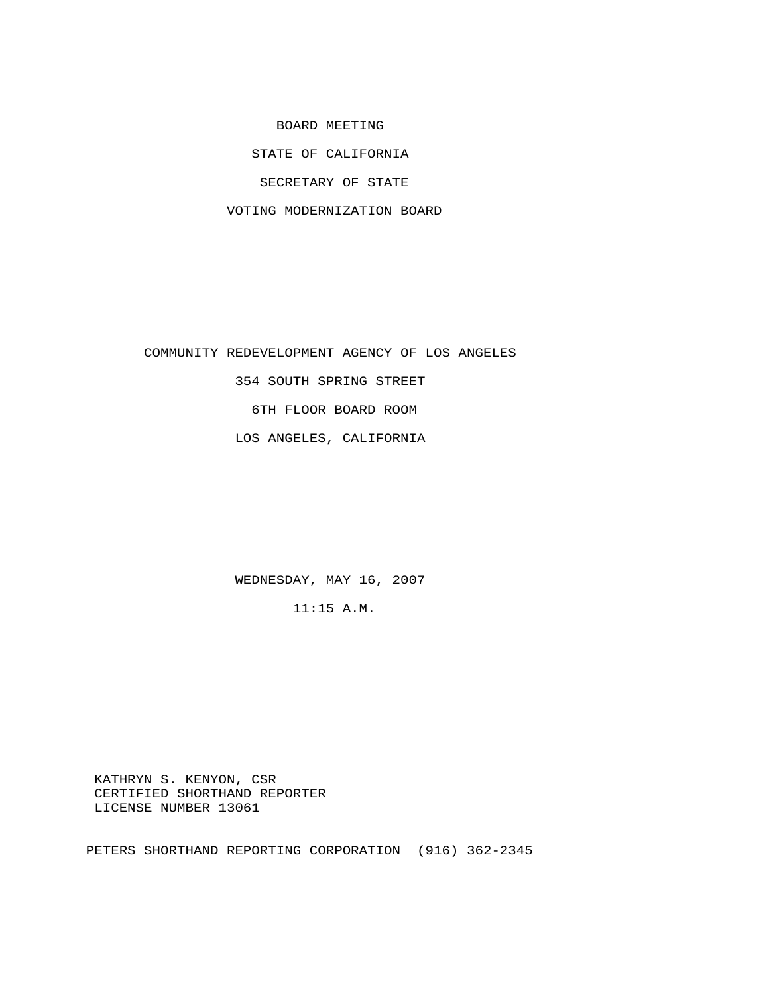BOARD MEETING STATE OF CALIFORNIA SECRETARY OF STATE VOTING MODERNIZATION BOARD

 COMMUNITY REDEVELOPMENT AGENCY OF LOS ANGELES 354 SOUTH SPRING STREET 6TH FLOOR BOARD ROOM LOS ANGELES, CALIFORNIA

WEDNESDAY, MAY 16, 2007

11:15 A.M.

 KATHRYN S. KENYON, CSR CERTIFIED SHORTHAND REPORTER LICENSE NUMBER 13061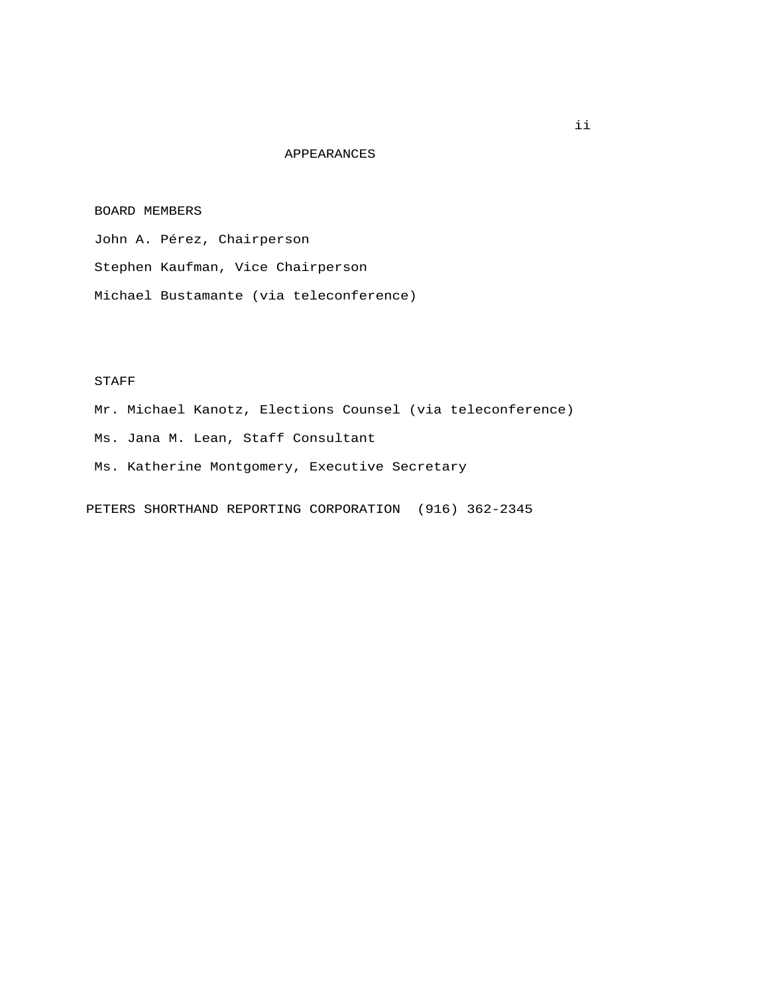## APPEARANCES

## BOARD MEMBERS

John A. Pérez, Chairperson

Stephen Kaufman, Vice Chairperson

Michael Bustamante (via teleconference)

## STAFF

 Mr. Michael Kanotz, Elections Counsel (via teleconference) Ms. Jana M. Lean, Staff Consultant Ms. Katherine Montgomery, Executive Secretary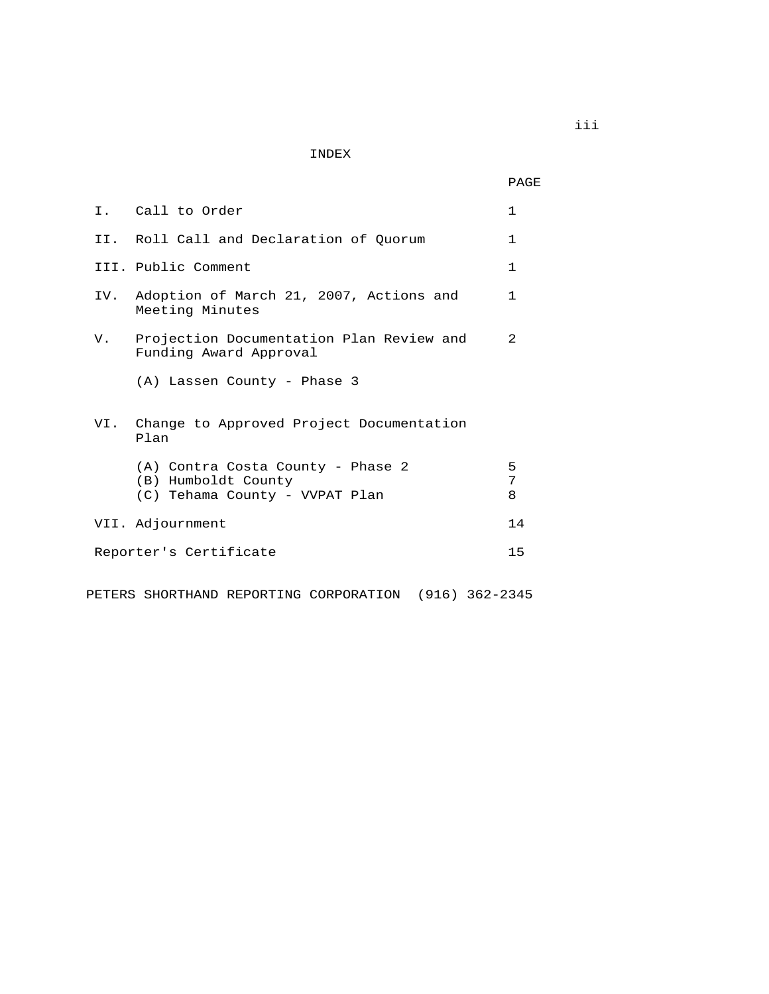INDEX

PAGE

|  | I. Call to Order                                                                           | $\mathbf{1}$   |
|--|--------------------------------------------------------------------------------------------|----------------|
|  | II. Roll Call and Declaration of Ouorum                                                    | $\mathbf{1}$   |
|  | III. Public Comment                                                                        | $\mathbf{1}$   |
|  | IV. Adoption of March 21, 2007, Actions and<br>Meeting Minutes                             | $\mathbf{1}$   |
|  | V. Projection Documentation Plan Review and<br>Funding Award Approval                      | $\mathfrak{D}$ |
|  | (A) Lassen County - Phase 3                                                                |                |
|  | VI. Change to Approved Project Documentation<br>Plan                                       |                |
|  | (A) Contra Costa County - Phase 2<br>(B) Humboldt County<br>(C) Tehama County - VVPAT Plan | 5<br>7<br>8    |
|  | VII. Adjournment                                                                           | 14             |
|  | Reporter's Certificate                                                                     | 15             |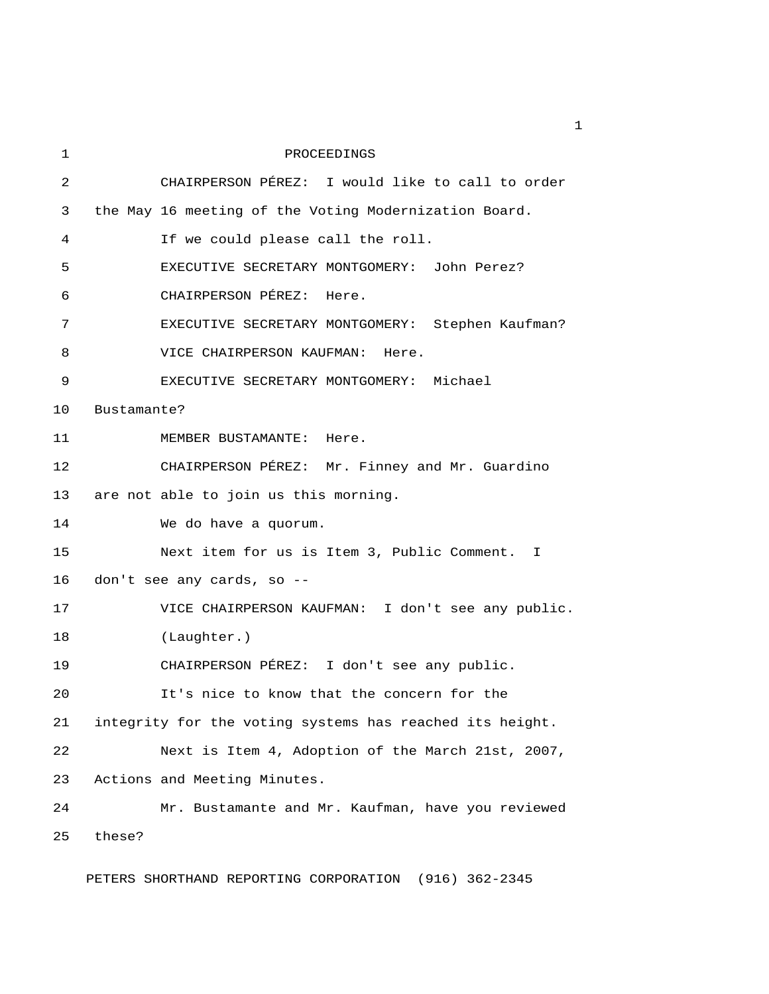| 1  |                            | PROCEEDINGS                                              |  |
|----|----------------------------|----------------------------------------------------------|--|
| 2  |                            | CHAIRPERSON PÉREZ: I would like to call to order         |  |
| 3  |                            | the May 16 meeting of the Voting Modernization Board.    |  |
| 4  |                            | If we could please call the roll.                        |  |
| 5  |                            | EXECUTIVE SECRETARY MONTGOMERY: John Perez?              |  |
| 6  |                            | CHAIRPERSON PÉREZ: Here.                                 |  |
| 7  |                            | EXECUTIVE SECRETARY MONTGOMERY: Stephen Kaufman?         |  |
| 8  |                            | VICE CHAIRPERSON KAUFMAN: Here.                          |  |
| 9  |                            | EXECUTIVE SECRETARY MONTGOMERY: Michael                  |  |
| 10 | Bustamante?                |                                                          |  |
| 11 |                            | MEMBER BUSTAMANTE: Here.                                 |  |
| 12 |                            | CHAIRPERSON PÉREZ: Mr. Finney and Mr. Guardino           |  |
| 13 |                            | are not able to join us this morning.                    |  |
| 14 |                            | We do have a quorum.                                     |  |
| 15 |                            | Next item for us is Item 3, Public Comment. I            |  |
| 16 | don't see any cards, so -- |                                                          |  |
| 17 |                            | VICE CHAIRPERSON KAUFMAN: I don't see any public.        |  |
| 18 |                            | (Laughter.)                                              |  |
| 19 |                            | CHAIRPERSON PÉREZ: I don't see any public.               |  |
| 20 |                            | It's nice to know that the concern for the               |  |
| 21 |                            | integrity for the voting systems has reached its height. |  |
| 22 |                            | Next is Item 4, Adoption of the March 21st, 2007,        |  |
| 23 |                            | Actions and Meeting Minutes.                             |  |
| 24 |                            | Mr. Bustamante and Mr. Kaufman, have you reviewed        |  |
| 25 | these?                     |                                                          |  |
|    |                            |                                                          |  |

PETERS SHORTHAND REPORTING CORPORATION (916) 362-2345

 $\mathbf 1$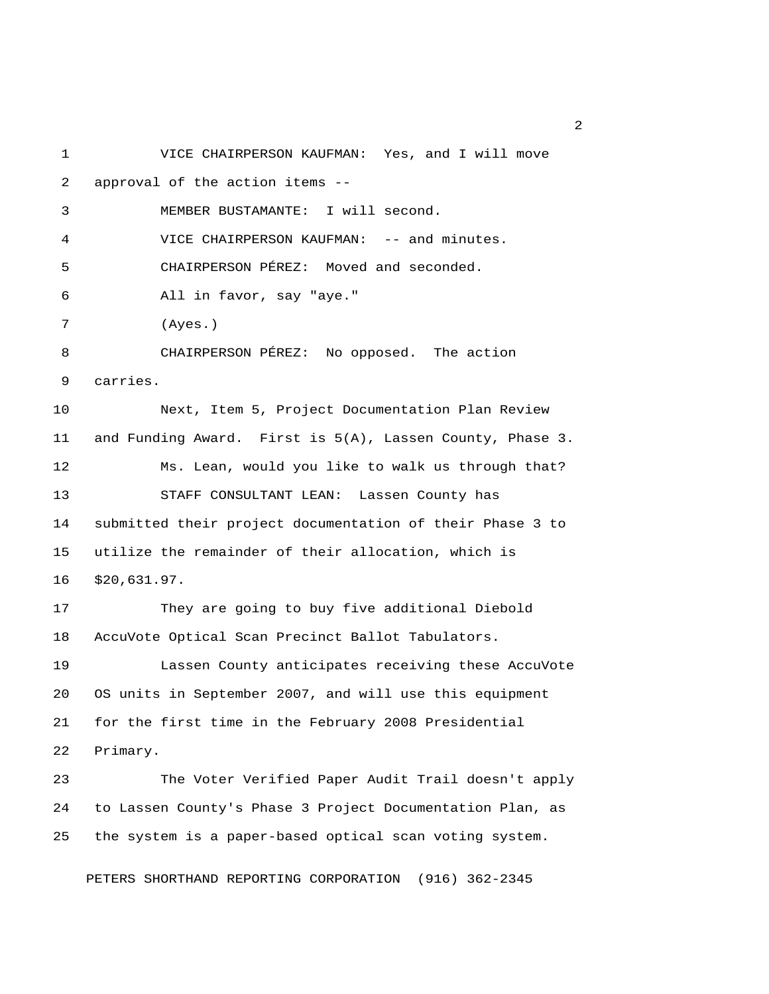1 VICE CHAIRPERSON KAUFMAN: Yes, and I will move 2 approval of the action items -- 3 MEMBER BUSTAMANTE: I will second. 4 VICE CHAIRPERSON KAUFMAN: -- and minutes. 5 CHAIRPERSON PÉREZ: Moved and seconded. 6 All in favor, say "aye." 7 (Ayes.) 8 CHAIRPERSON PÉREZ: No opposed. The action 9 carries. 10 Next, Item 5, Project Documentation Plan Review 11 and Funding Award. First is 5(A), Lassen County, Phase 3. 12 Ms. Lean, would you like to walk us through that? 13 STAFF CONSULTANT LEAN: Lassen County has 14 submitted their project documentation of their Phase 3 to 15 utilize the remainder of their allocation, which is 16 \$20,631.97. 17 They are going to buy five additional Diebold 18 AccuVote Optical Scan Precinct Ballot Tabulators. 19 Lassen County anticipates receiving these AccuVote 20 OS units in September 2007, and will use this equipment 21 for the first time in the February 2008 Presidential 22 Primary. 23 The Voter Verified Paper Audit Trail doesn't apply 24 to Lassen County's Phase 3 Project Documentation Plan, as 25 the system is a paper-based optical scan voting system.

PETERS SHORTHAND REPORTING CORPORATION (916) 362-2345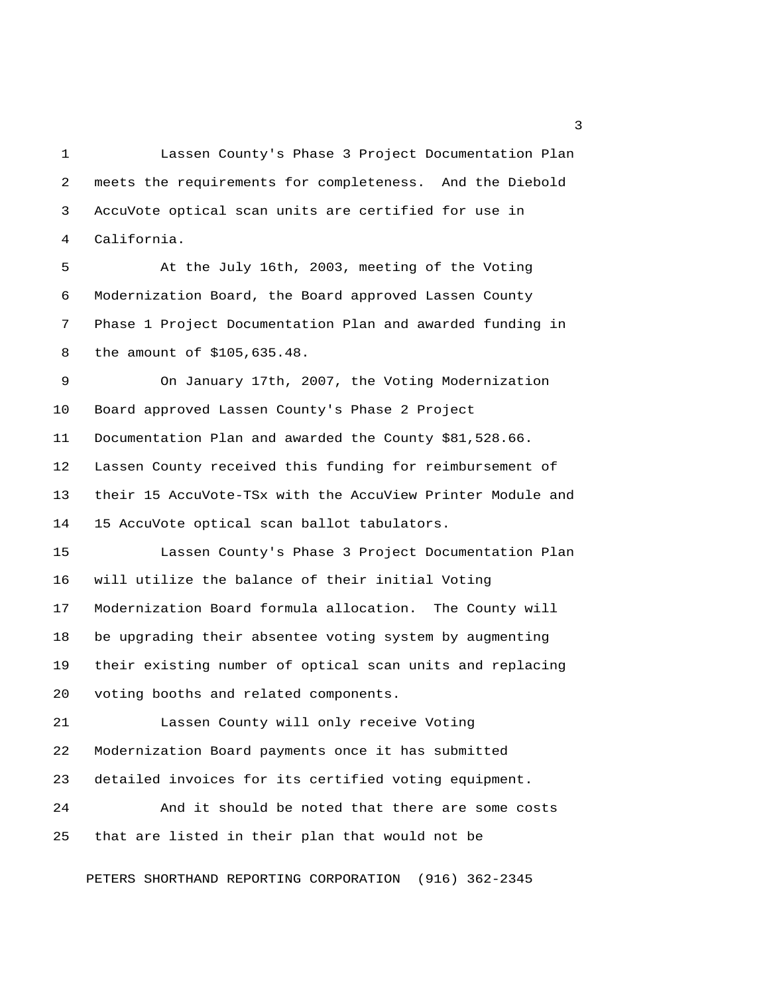1 Lassen County's Phase 3 Project Documentation Plan 2 meets the requirements for completeness. And the Diebold 3 AccuVote optical scan units are certified for use in 4 California.

 5 At the July 16th, 2003, meeting of the Voting 6 Modernization Board, the Board approved Lassen County 7 Phase 1 Project Documentation Plan and awarded funding in 8 the amount of \$105,635.48.

 9 On January 17th, 2007, the Voting Modernization 10 Board approved Lassen County's Phase 2 Project 11 Documentation Plan and awarded the County \$81,528.66. 12 Lassen County received this funding for reimbursement of 13 their 15 AccuVote-TSx with the AccuView Printer Module and 14 15 AccuVote optical scan ballot tabulators.

15 Lassen County's Phase 3 Project Documentation Plan 16 will utilize the balance of their initial Voting 17 Modernization Board formula allocation. The County will 18 be upgrading their absentee voting system by augmenting 19 their existing number of optical scan units and replacing 20 voting booths and related components.

21 Lassen County will only receive Voting 22 Modernization Board payments once it has submitted 23 detailed invoices for its certified voting equipment.

24 And it should be noted that there are some costs 25 that are listed in their plan that would not be

PETERS SHORTHAND REPORTING CORPORATION (916) 362-2345

 $\overline{\mathbf{3}}$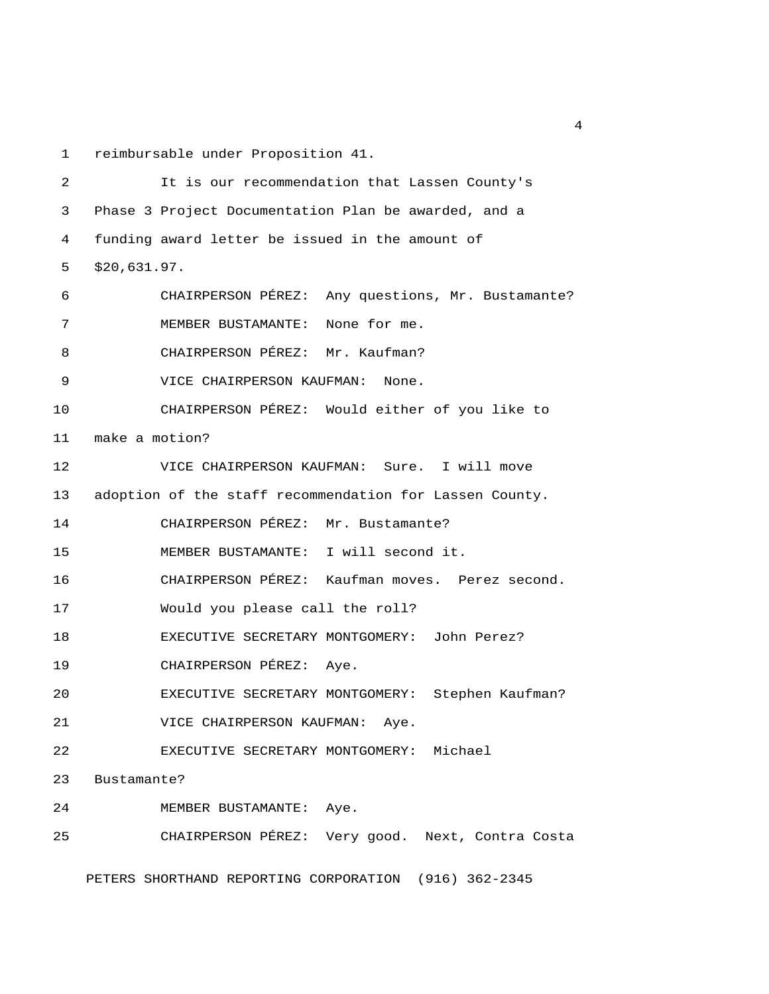1 reimbursable under Proposition 41.

 2 It is our recommendation that Lassen County's 3 Phase 3 Project Documentation Plan be awarded, and a 4 funding award letter be issued in the amount of 5 \$20,631.97. 6 CHAIRPERSON PÉREZ: Any questions, Mr. Bustamante? 7 MEMBER BUSTAMANTE: None for me. 8 CHAIRPERSON PÉREZ: Mr. Kaufman? 9 VICE CHAIRPERSON KAUFMAN: None. 10 CHAIRPERSON PÉREZ: Would either of you like to 11 make a motion? 12 VICE CHAIRPERSON KAUFMAN: Sure. I will move 13 adoption of the staff recommendation for Lassen County. 14 CHAIRPERSON PÉREZ: Mr. Bustamante? 15 MEMBER BUSTAMANTE: I will second it. 16 CHAIRPERSON PÉREZ: Kaufman moves. Perez second. 17 Would you please call the roll? 18 EXECUTIVE SECRETARY MONTGOMERY: John Perez? 19 CHAIRPERSON PÉREZ: Aye. 20 EXECUTIVE SECRETARY MONTGOMERY: Stephen Kaufman? 21 VICE CHAIRPERSON KAUFMAN: Aye. 22 EXECUTIVE SECRETARY MONTGOMERY: Michael 23 Bustamante? 24 MEMBER BUSTAMANTE: Aye. 25 CHAIRPERSON PÉREZ: Very good. Next, Contra Costa

PETERS SHORTHAND REPORTING CORPORATION (916) 362-2345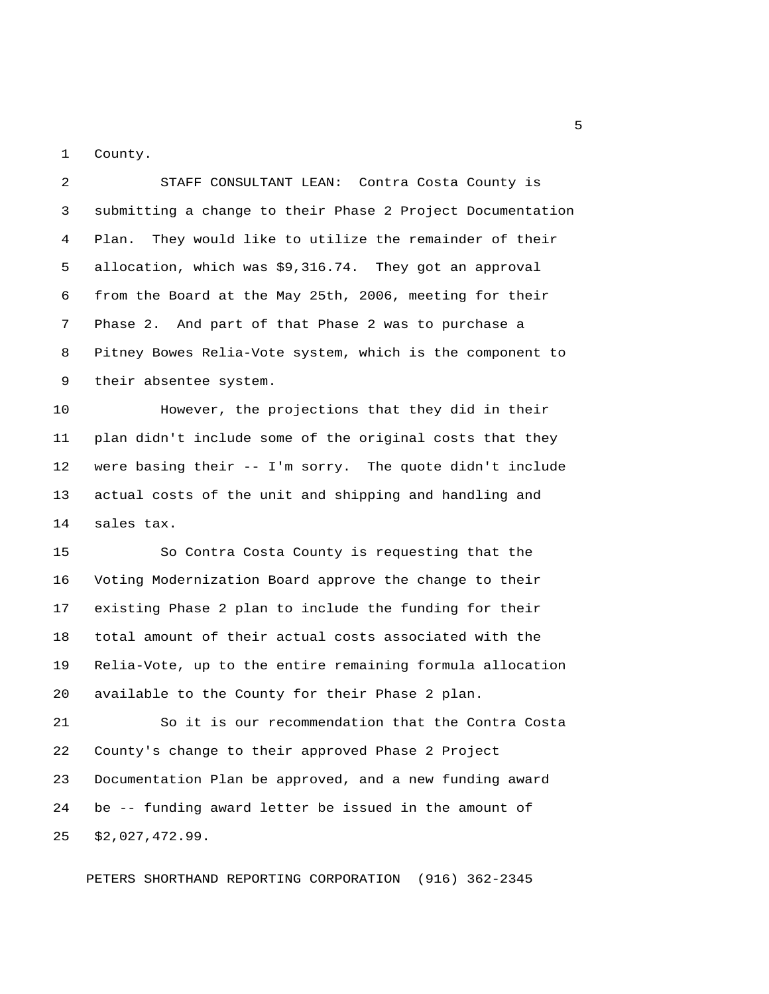1 County.

 2 STAFF CONSULTANT LEAN: Contra Costa County is 3 submitting a change to their Phase 2 Project Documentation 4 Plan. They would like to utilize the remainder of their 5 allocation, which was \$9,316.74. They got an approval 6 from the Board at the May 25th, 2006, meeting for their 7 Phase 2. And part of that Phase 2 was to purchase a 8 Pitney Bowes Relia-Vote system, which is the component to 9 their absentee system.

10 However, the projections that they did in their 11 plan didn't include some of the original costs that they 12 were basing their -- I'm sorry. The quote didn't include 13 actual costs of the unit and shipping and handling and 14 sales tax.

15 So Contra Costa County is requesting that the 16 Voting Modernization Board approve the change to their 17 existing Phase 2 plan to include the funding for their 18 total amount of their actual costs associated with the 19 Relia-Vote, up to the entire remaining formula allocation 20 available to the County for their Phase 2 plan.

21 So it is our recommendation that the Contra Costa 22 County's change to their approved Phase 2 Project 23 Documentation Plan be approved, and a new funding award 24 be -- funding award letter be issued in the amount of 25 \$2,027,472.99.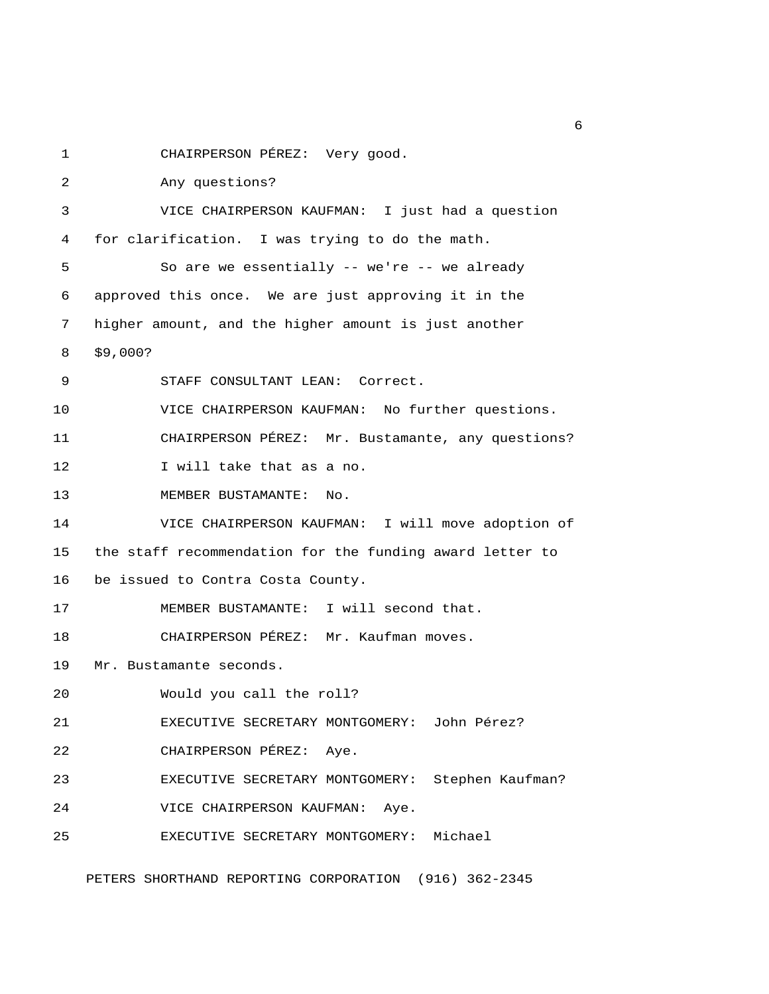1 CHAIRPERSON PÉREZ: Very good.

 2 Any questions? 3 VICE CHAIRPERSON KAUFMAN: I just had a question 4 for clarification. I was trying to do the math. 5 So are we essentially -- we're -- we already 6 approved this once. We are just approving it in the 7 higher amount, and the higher amount is just another 8 \$9,000? 9 STAFF CONSULTANT LEAN: Correct. 10 VICE CHAIRPERSON KAUFMAN: No further questions. 11 CHAIRPERSON PÉREZ: Mr. Bustamante, any questions? 12 I will take that as a no. 13 MEMBER BUSTAMANTE: No. 14 VICE CHAIRPERSON KAUFMAN: I will move adoption of 15 the staff recommendation for the funding award letter to 16 be issued to Contra Costa County. 17 MEMBER BUSTAMANTE: I will second that. 18 CHAIRPERSON PÉREZ: Mr. Kaufman moves. 19 Mr. Bustamante seconds. 20 Would you call the roll? 21 EXECUTIVE SECRETARY MONTGOMERY: John Pérez? 22 CHAIRPERSON PÉREZ: Aye. 23 EXECUTIVE SECRETARY MONTGOMERY: Stephen Kaufman? 24 VICE CHAIRPERSON KAUFMAN: Aye. 25 EXECUTIVE SECRETARY MONTGOMERY: Michael PETERS SHORTHAND REPORTING CORPORATION (916) 362-2345

 $6<sup>6</sup>$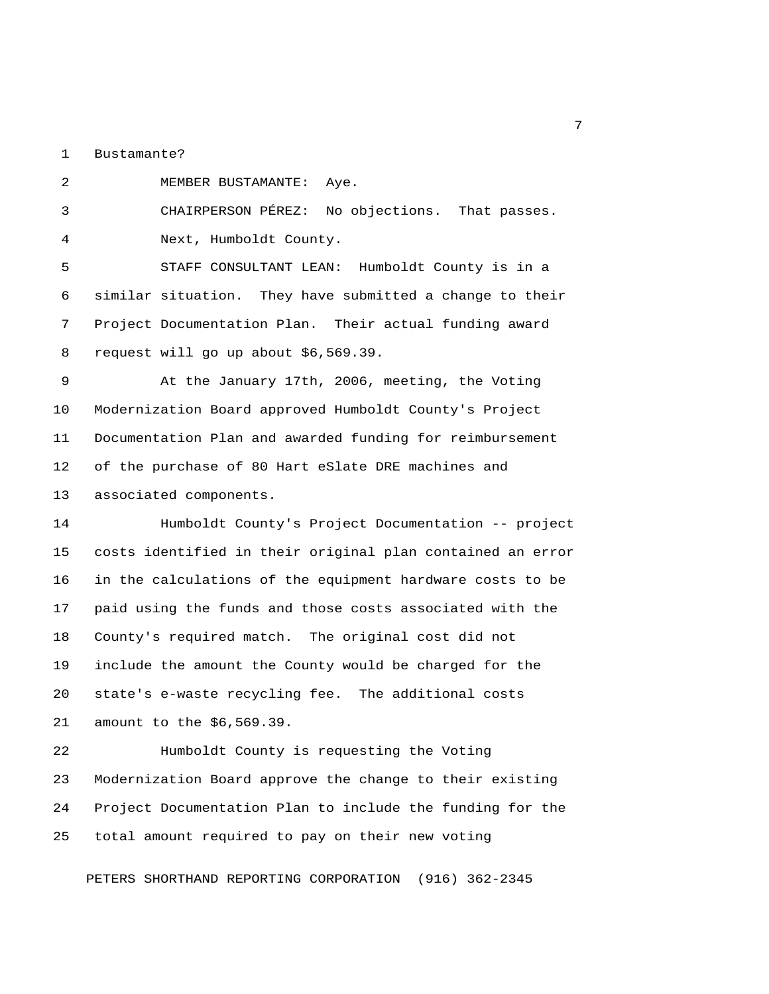1 Bustamante?

2 MEMBER BUSTAMANTE: Aye.

3 CHAIRPERSON PÉREZ: No objections. That passes.

4 Next, Humboldt County.

 5 STAFF CONSULTANT LEAN: Humboldt County is in a 6 similar situation. They have submitted a change to their 7 Project Documentation Plan. Their actual funding award 8 request will go up about \$6,569.39.

 9 At the January 17th, 2006, meeting, the Voting 10 Modernization Board approved Humboldt County's Project 11 Documentation Plan and awarded funding for reimbursement 12 of the purchase of 80 Hart eSlate DRE machines and 13 associated components.

14 Humboldt County's Project Documentation -- project 15 costs identified in their original plan contained an error 16 in the calculations of the equipment hardware costs to be 17 paid using the funds and those costs associated with the 18 County's required match. The original cost did not 19 include the amount the County would be charged for the 20 state's e-waste recycling fee. The additional costs 21 amount to the \$6,569.39.

22 Humboldt County is requesting the Voting 23 Modernization Board approve the change to their existing 24 Project Documentation Plan to include the funding for the 25 total amount required to pay on their new voting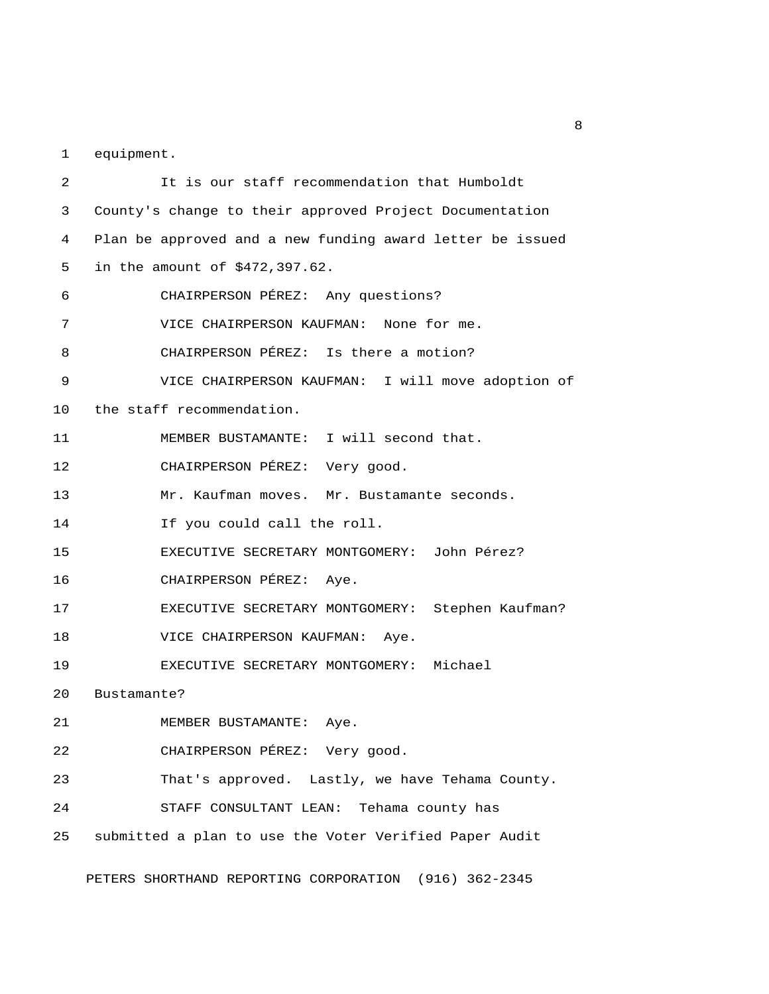1 equipment.

 2 It is our staff recommendation that Humboldt 3 County's change to their approved Project Documentation 4 Plan be approved and a new funding award letter be issued 5 in the amount of \$472,397.62. 6 CHAIRPERSON PÉREZ: Any questions? 7 VICE CHAIRPERSON KAUFMAN: None for me. 8 CHAIRPERSON PÉREZ: Is there a motion? 9 VICE CHAIRPERSON KAUFMAN: I will move adoption of 10 the staff recommendation. 11 MEMBER BUSTAMANTE: I will second that. 12 CHAIRPERSON PÉREZ: Very good. 13 Mr. Kaufman moves. Mr. Bustamante seconds. 14 If you could call the roll. 15 EXECUTIVE SECRETARY MONTGOMERY: John Pérez? 16 CHAIRPERSON PÉREZ: Aye. 17 EXECUTIVE SECRETARY MONTGOMERY: Stephen Kaufman? 18 VICE CHAIRPERSON KAUFMAN: Aye. 19 EXECUTIVE SECRETARY MONTGOMERY: Michael 20 Bustamante? 21 MEMBER BUSTAMANTE: Aye. 22 CHAIRPERSON PÉREZ: Very good. 23 That's approved. Lastly, we have Tehama County. 24 STAFF CONSULTANT LEAN: Tehama county has 25 submitted a plan to use the Voter Verified Paper Audit

PETERS SHORTHAND REPORTING CORPORATION (916) 362-2345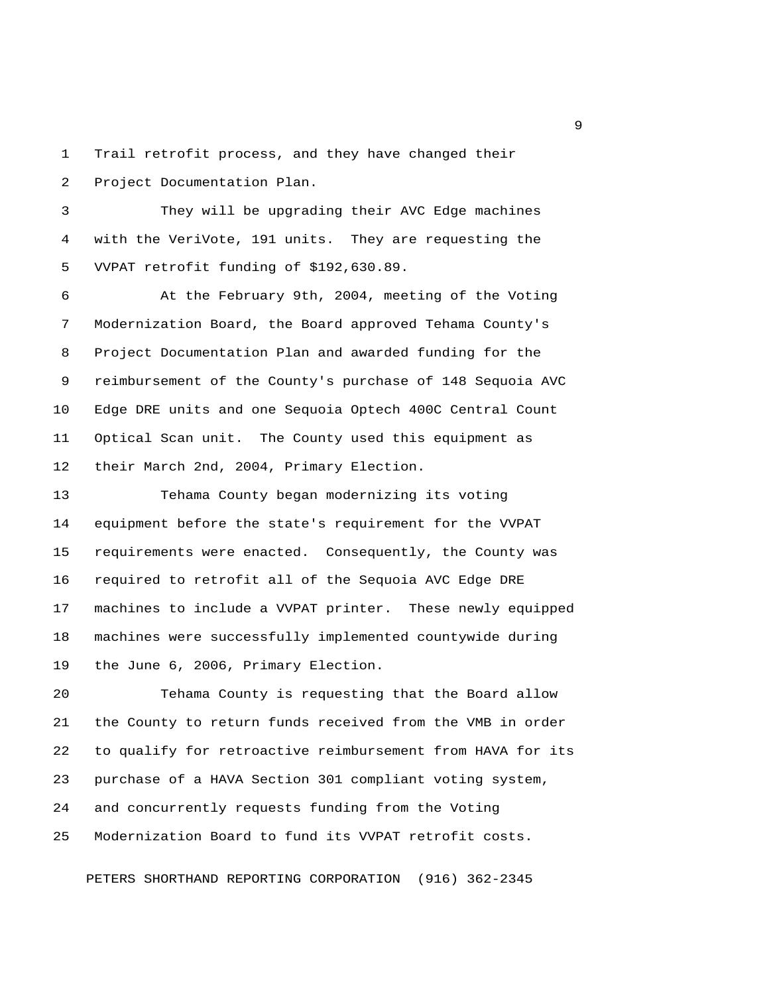1 Trail retrofit process, and they have changed their 2 Project Documentation Plan.

 3 They will be upgrading their AVC Edge machines 4 with the VeriVote, 191 units. They are requesting the 5 VVPAT retrofit funding of \$192,630.89.

 6 At the February 9th, 2004, meeting of the Voting 7 Modernization Board, the Board approved Tehama County's 8 Project Documentation Plan and awarded funding for the 9 reimbursement of the County's purchase of 148 Sequoia AVC 10 Edge DRE units and one Sequoia Optech 400C Central Count 11 Optical Scan unit. The County used this equipment as 12 their March 2nd, 2004, Primary Election.

13 Tehama County began modernizing its voting 14 equipment before the state's requirement for the VVPAT 15 requirements were enacted. Consequently, the County was 16 required to retrofit all of the Sequoia AVC Edge DRE 17 machines to include a VVPAT printer. These newly equipped 18 machines were successfully implemented countywide during 19 the June 6, 2006, Primary Election.

20 Tehama County is requesting that the Board allow 21 the County to return funds received from the VMB in order 22 to qualify for retroactive reimbursement from HAVA for its 23 purchase of a HAVA Section 301 compliant voting system, 24 and concurrently requests funding from the Voting 25 Modernization Board to fund its VVPAT retrofit costs.

PETERS SHORTHAND REPORTING CORPORATION (916) 362-2345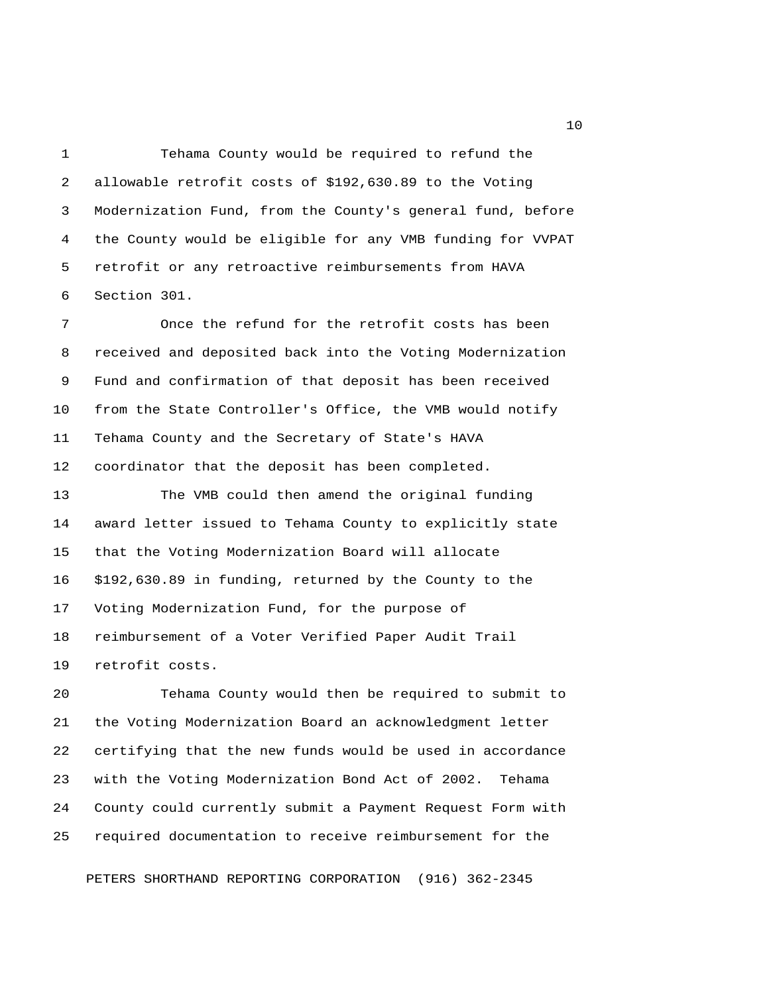1 Tehama County would be required to refund the 2 allowable retrofit costs of \$192,630.89 to the Voting 3 Modernization Fund, from the County's general fund, before 4 the County would be eligible for any VMB funding for VVPAT 5 retrofit or any retroactive reimbursements from HAVA 6 Section 301.

 7 Once the refund for the retrofit costs has been 8 received and deposited back into the Voting Modernization 9 Fund and confirmation of that deposit has been received 10 from the State Controller's Office, the VMB would notify 11 Tehama County and the Secretary of State's HAVA 12 coordinator that the deposit has been completed.

13 The VMB could then amend the original funding 14 award letter issued to Tehama County to explicitly state 15 that the Voting Modernization Board will allocate 16 \$192,630.89 in funding, returned by the County to the 17 Voting Modernization Fund, for the purpose of 18 reimbursement of a Voter Verified Paper Audit Trail 19 retrofit costs.

20 Tehama County would then be required to submit to 21 the Voting Modernization Board an acknowledgment letter 22 certifying that the new funds would be used in accordance 23 with the Voting Modernization Bond Act of 2002. Tehama 24 County could currently submit a Payment Request Form with 25 required documentation to receive reimbursement for the

PETERS SHORTHAND REPORTING CORPORATION (916) 362-2345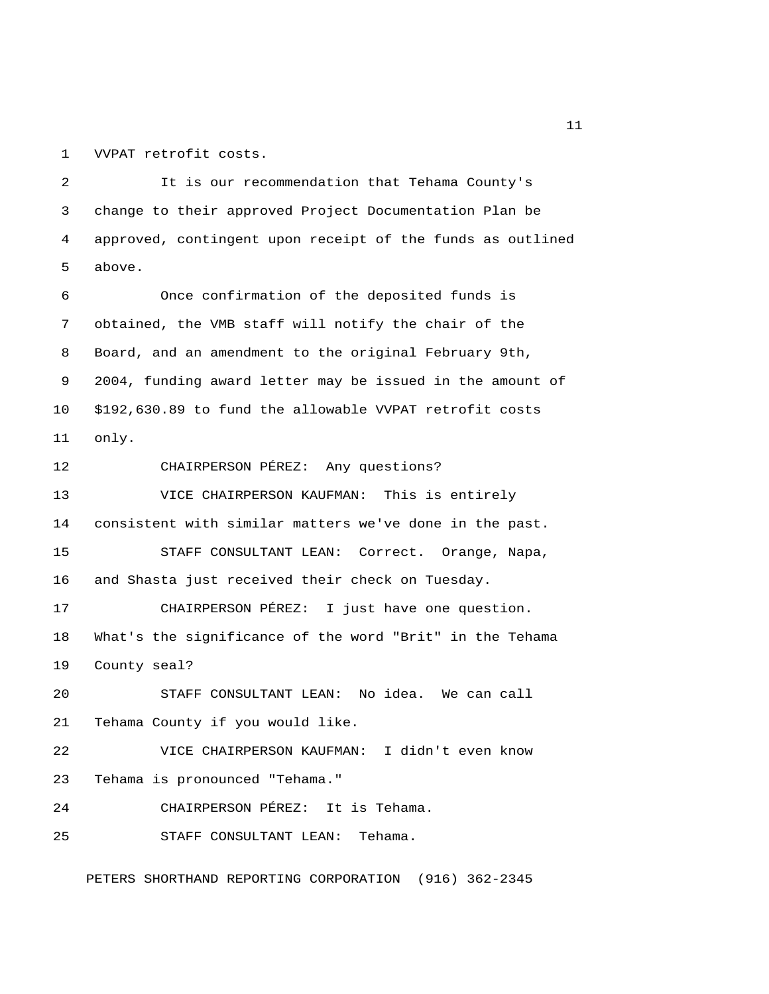1 VVPAT retrofit costs.

 2 It is our recommendation that Tehama County's 3 change to their approved Project Documentation Plan be 4 approved, contingent upon receipt of the funds as outlined 5 above. 6 Once confirmation of the deposited funds is 7 obtained, the VMB staff will notify the chair of the 8 Board, and an amendment to the original February 9th, 9 2004, funding award letter may be issued in the amount of 10 \$192,630.89 to fund the allowable VVPAT retrofit costs 11 only. 12 CHAIRPERSON PÉREZ: Any questions? 13 VICE CHAIRPERSON KAUFMAN: This is entirely 14 consistent with similar matters we've done in the past. 15 STAFF CONSULTANT LEAN: Correct. Orange, Napa, 16 and Shasta just received their check on Tuesday. 17 CHAIRPERSON PÉREZ: I just have one question. 18 What's the significance of the word "Brit" in the Tehama 19 County seal? 20 STAFF CONSULTANT LEAN: No idea. We can call 21 Tehama County if you would like. 22 VICE CHAIRPERSON KAUFMAN: I didn't even know 23 Tehama is pronounced "Tehama." 24 CHAIRPERSON PÉREZ: It is Tehama. 25 STAFF CONSULTANT LEAN: Tehama.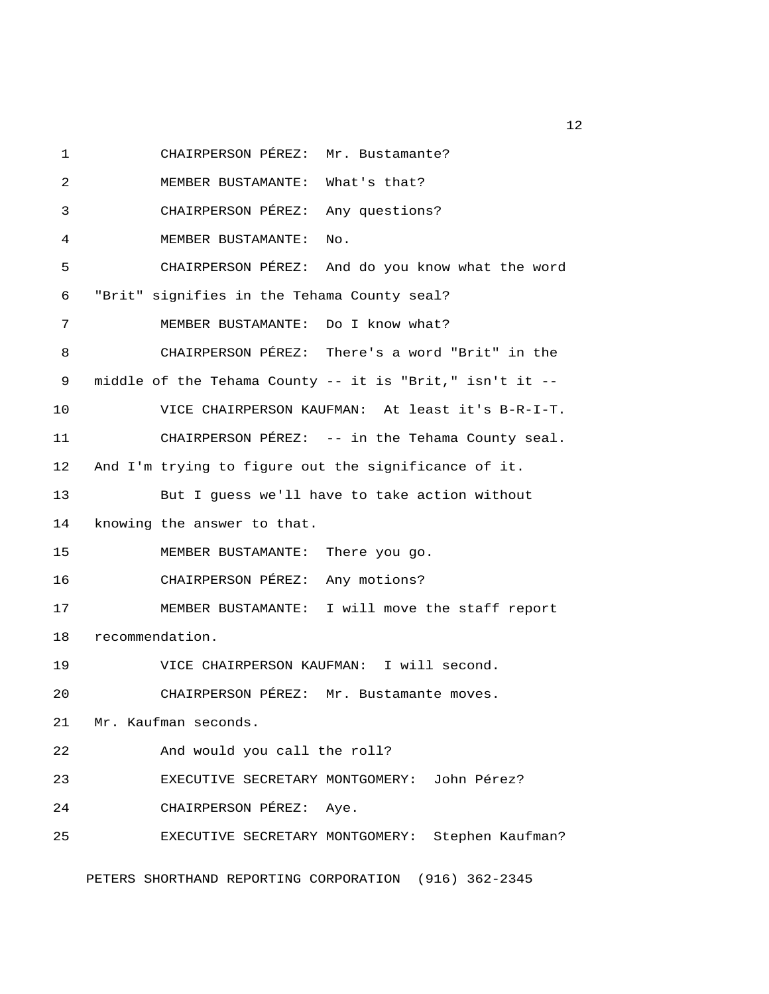1 CHAIRPERSON PÉREZ: Mr. Bustamante? 2 MEMBER BUSTAMANTE: What's that? 3 CHAIRPERSON PÉREZ: Any questions? 4 MEMBER BUSTAMANTE: No. 5 CHAIRPERSON PÉREZ: And do you know what the word 6 "Brit" signifies in the Tehama County seal? 7 MEMBER BUSTAMANTE: Do I know what? 8 CHAIRPERSON PÉREZ: There's a word "Brit" in the 9 middle of the Tehama County -- it is "Brit," isn't it -- 10 VICE CHAIRPERSON KAUFMAN: At least it's B-R-I-T. 11 CHAIRPERSON PÉREZ: -- in the Tehama County seal. 12 And I'm trying to figure out the significance of it. 13 But I guess we'll have to take action without 14 knowing the answer to that. 15 MEMBER BUSTAMANTE: There you go. 16 CHAIRPERSON PÉREZ: Any motions? 17 MEMBER BUSTAMANTE: I will move the staff report 18 recommendation. 19 VICE CHAIRPERSON KAUFMAN: I will second. 20 CHAIRPERSON PÉREZ: Mr. Bustamante moves. 21 Mr. Kaufman seconds. 22 And would you call the roll? 23 EXECUTIVE SECRETARY MONTGOMERY: John Pérez? 24 CHAIRPERSON PÉREZ: Aye. 25 EXECUTIVE SECRETARY MONTGOMERY: Stephen Kaufman? PETERS SHORTHAND REPORTING CORPORATION (916) 362-2345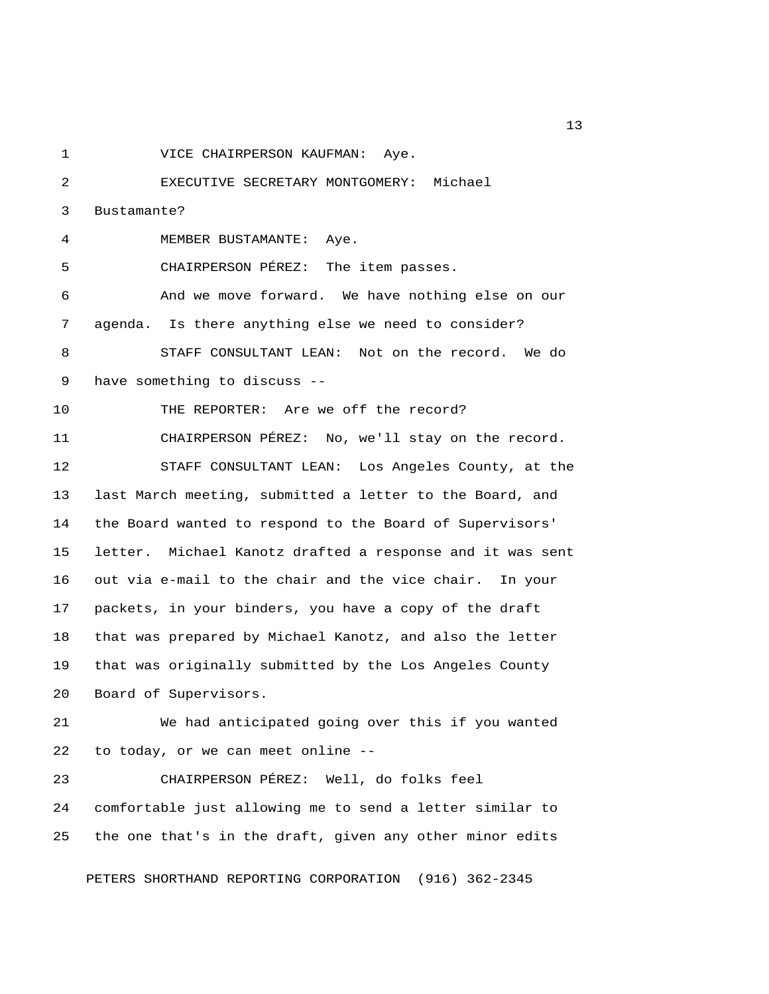1 VICE CHAIRPERSON KAUFMAN: Aye.

 2 EXECUTIVE SECRETARY MONTGOMERY: Michael 3 Bustamante? 4 MEMBER BUSTAMANTE: Aye. 5 CHAIRPERSON PÉREZ: The item passes. 6 And we move forward. We have nothing else on our 7 agenda. Is there anything else we need to consider? 8 STAFF CONSULTANT LEAN: Not on the record. We do 9 have something to discuss -- 10 THE REPORTER: Are we off the record? 11 CHAIRPERSON PÉREZ: No, we'll stay on the record. 12 STAFF CONSULTANT LEAN: Los Angeles County, at the 13 last March meeting, submitted a letter to the Board, and 14 the Board wanted to respond to the Board of Supervisors' 15 letter. Michael Kanotz drafted a response and it was sent 16 out via e-mail to the chair and the vice chair. In your 17 packets, in your binders, you have a copy of the draft 18 that was prepared by Michael Kanotz, and also the letter 19 that was originally submitted by the Los Angeles County 20 Board of Supervisors. 21 We had anticipated going over this if you wanted 22 to today, or we can meet online -- 23 CHAIRPERSON PÉREZ: Well, do folks feel 24 comfortable just allowing me to send a letter similar to

PETERS SHORTHAND REPORTING CORPORATION (916) 362-2345

25 the one that's in the draft, given any other minor edits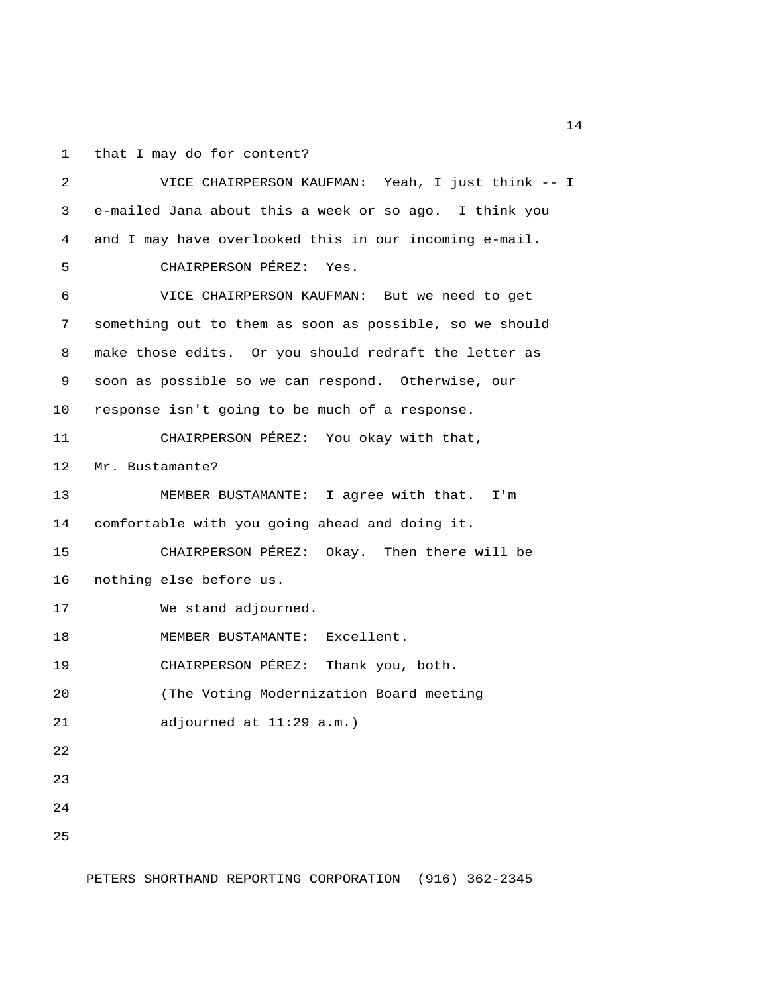1 that I may do for content?

 2 VICE CHAIRPERSON KAUFMAN: Yeah, I just think -- I 3 e-mailed Jana about this a week or so ago. I think you 4 and I may have overlooked this in our incoming e-mail. 5 CHAIRPERSON PÉREZ: Yes. 6 VICE CHAIRPERSON KAUFMAN: But we need to get 7 something out to them as soon as possible, so we should 8 make those edits. Or you should redraft the letter as 9 soon as possible so we can respond. Otherwise, our 10 response isn't going to be much of a response. 11 CHAIRPERSON PÉREZ: You okay with that, 12 Mr. Bustamante? 13 MEMBER BUSTAMANTE: I agree with that. I'm 14 comfortable with you going ahead and doing it. 15 CHAIRPERSON PÉREZ: Okay. Then there will be 16 nothing else before us. 17 We stand adjourned. 18 MEMBER BUSTAMANTE: Excellent. 19 CHAIRPERSON PÉREZ: Thank you, both. 20 (The Voting Modernization Board meeting 21 adjourned at 11:29 a.m.) 22 23 24 25

PETERS SHORTHAND REPORTING CORPORATION (916) 362-2345